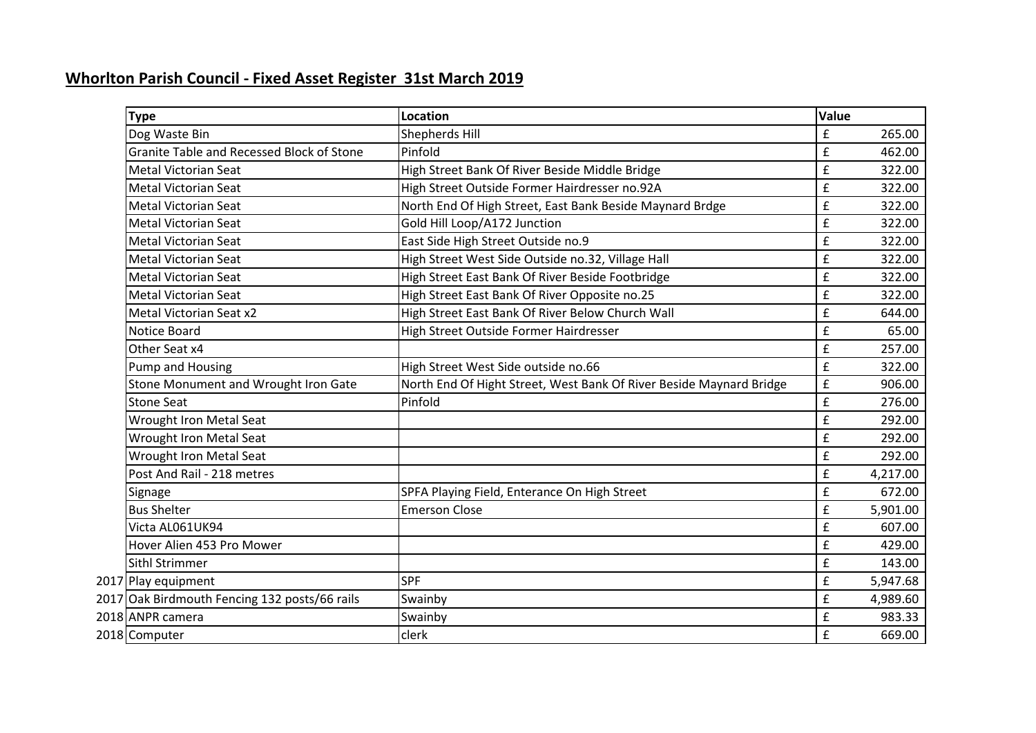## **Whorlton Parish Council - Fixed Asset Register 31st March 2019**

| Type                                             | <b>Location</b>                                                     | Value              |          |
|--------------------------------------------------|---------------------------------------------------------------------|--------------------|----------|
| Dog Waste Bin                                    | Shepherds Hill                                                      | $\pmb{\mathsf{f}}$ | 265.00   |
| <b>Granite Table and Recessed Block of Stone</b> | Pinfold                                                             | £                  | 462.00   |
| <b>Metal Victorian Seat</b>                      | High Street Bank Of River Beside Middle Bridge                      | £                  | 322.00   |
| <b>Metal Victorian Seat</b>                      | High Street Outside Former Hairdresser no.92A                       | £                  | 322.00   |
| <b>Metal Victorian Seat</b>                      | North End Of High Street, East Bank Beside Maynard Brdge            | $\pmb{\mathsf{f}}$ | 322.00   |
| <b>Metal Victorian Seat</b>                      | Gold Hill Loop/A172 Junction                                        | £                  | 322.00   |
| <b>Metal Victorian Seat</b>                      | East Side High Street Outside no.9                                  | £                  | 322.00   |
| <b>Metal Victorian Seat</b>                      | High Street West Side Outside no.32, Village Hall                   | £                  | 322.00   |
| <b>Metal Victorian Seat</b>                      | High Street East Bank Of River Beside Footbridge                    | £                  | 322.00   |
| <b>Metal Victorian Seat</b>                      | High Street East Bank Of River Opposite no.25                       | £                  | 322.00   |
| Metal Victorian Seat x2                          | High Street East Bank Of River Below Church Wall                    | $\mathbf f$        | 644.00   |
| Notice Board                                     | High Street Outside Former Hairdresser                              | £                  | 65.00    |
| Other Seat x4                                    |                                                                     | £                  | 257.00   |
| Pump and Housing                                 | High Street West Side outside no.66                                 | $\pmb{\mathsf{f}}$ | 322.00   |
| Stone Monument and Wrought Iron Gate             | North End Of Hight Street, West Bank Of River Beside Maynard Bridge | £                  | 906.00   |
| <b>Stone Seat</b>                                | Pinfold                                                             | £                  | 276.00   |
| <b>Wrought Iron Metal Seat</b>                   |                                                                     | £                  | 292.00   |
| <b>Wrought Iron Metal Seat</b>                   |                                                                     | £                  | 292.00   |
| <b>Wrought Iron Metal Seat</b>                   |                                                                     | £                  | 292.00   |
| Post And Rail - 218 metres                       |                                                                     | $\pmb{\mathsf{f}}$ | 4,217.00 |
| Signage                                          | SPFA Playing Field, Enterance On High Street                        | £                  | 672.00   |
| <b>Bus Shelter</b>                               | <b>Emerson Close</b>                                                | $\pmb{\mathsf{f}}$ | 5,901.00 |
| Victa AL061UK94                                  |                                                                     | £                  | 607.00   |
| Hover Alien 453 Pro Mower                        |                                                                     | $\pmb{\mathsf{f}}$ | 429.00   |
| <b>Sithl Strimmer</b>                            |                                                                     | £                  | 143.00   |
| 2017 Play equipment                              | <b>SPF</b>                                                          | $\pmb{\mathsf{f}}$ | 5,947.68 |
| 2017 Oak Birdmouth Fencing 132 posts/66 rails    | Swainby                                                             | £                  | 4,989.60 |
| 2018 ANPR camera                                 | Swainby                                                             | $\pmb{\mathsf{f}}$ | 983.33   |
| 2018 Computer                                    | clerk                                                               | £                  | 669.00   |